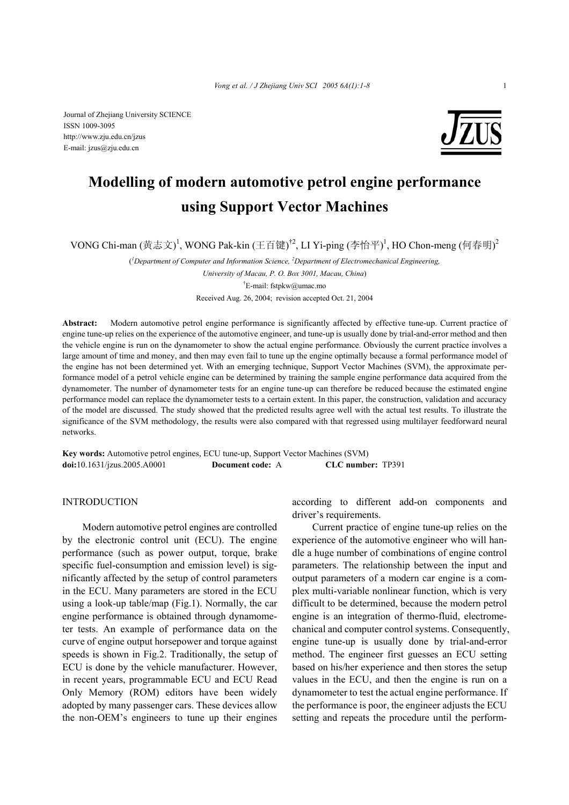Journal of Zhejiang University SCIENCE ISSN 1009-3095 http://www.zju.edu.cn/jzus E-mail: jzus@zju.edu.cn



# **Modelling of modern automotive petrol engine performance using Support Vector Machines**

VONG Chi-man (黄志文)<sup>1</sup>, WONG Pak-kin (王百键)<sup>†2</sup>, LI Yi-ping (李怡平)<sup>1</sup>, HO Chon-meng (何春明)<sup>2</sup>

( *1 Department of Computer and Information Science, 2 Department of Electromechanical Engineering, University of Macau, P. O. Box 3001, Macau, China*) † E-mail: fstpkw@umac.mo

Received Aug. 26, 2004; revision accepted Oct. 21, 2004

**Abstract:** Modern automotive petrol engine performance is significantly affected by effective tune-up. Current practice of engine tune-up relies on the experience of the automotive engineer, and tune-up is usually done by trial-and-error method and then the vehicle engine is run on the dynamometer to show the actual engine performance. Obviously the current practice involves a large amount of time and money, and then may even fail to tune up the engine optimally because a formal performance model of the engine has not been determined yet. With an emerging technique, Support Vector Machines (SVM), the approximate performance model of a petrol vehicle engine can be determined by training the sample engine performance data acquired from the dynamometer. The number of dynamometer tests for an engine tune-up can therefore be reduced because the estimated engine performance model can replace the dynamometer tests to a certain extent. In this paper, the construction, validation and accuracy of the model are discussed. The study showed that the predicted results agree well with the actual test results. To illustrate the significance of the SVM methodology, the results were also compared with that regressed using multilayer feedforward neural networks.

**Key words:** Automotive petrol engines, ECU tune-up, Support Vector Machines (SVM) **doi:**10.1631/jzus.2005.A0001 **Document code:** A **CLC number:** TP391

## INTRODUCTION

Modern automotive petrol engines are controlled by the electronic control unit (ECU). The engine performance (such as power output, torque, brake specific fuel-consumption and emission level) is significantly affected by the setup of control parameters in the ECU. Many parameters are stored in the ECU using a look-up table/map (Fig.1). Normally, the car engine performance is obtained through dynamometer tests. An example of performance data on the curve of engine output horsepower and torque against speeds is shown in Fig.2. Traditionally, the setup of ECU is done by the vehicle manufacturer. However, in recent years, programmable ECU and ECU Read Only Memory (ROM) editors have been widely adopted by many passenger cars. These devices allow the non-OEM's engineers to tune up their engines according to different add-on components and driver's requirements.

Current practice of engine tune-up relies on the experience of the automotive engineer who will handle a huge number of combinations of engine control parameters. The relationship between the input and output parameters of a modern car engine is a complex multi-variable nonlinear function, which is very difficult to be determined, because the modern petrol engine is an integration of thermo-fluid, electromechanical and computer control systems. Consequently, engine tune-up is usually done by trial-and-error method. The engineer first guesses an ECU setting based on his/her experience and then stores the setup values in the ECU, and then the engine is run on a dynamometer to test the actual engine performance. If the performance is poor, the engineer adjusts the ECU setting and repeats the procedure until the perform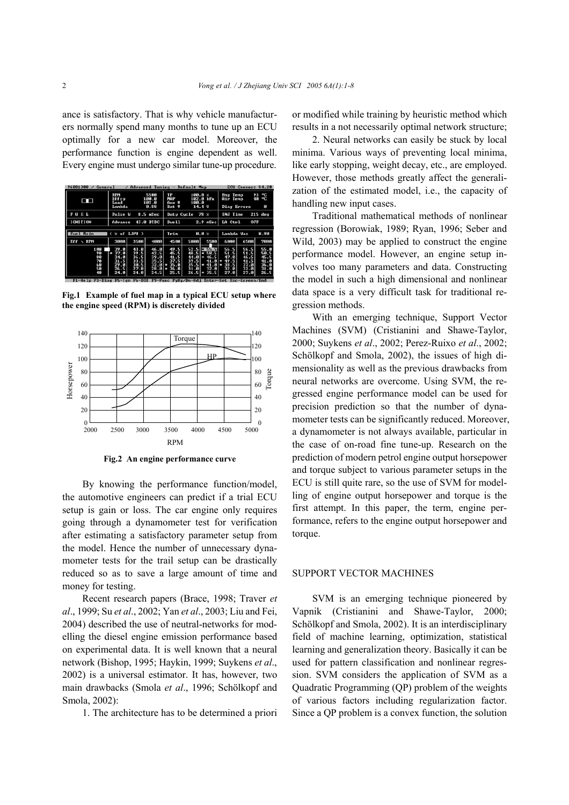ance is satisfactory. That is why vehicle manufacturers normally spend many months to tune up an ECU optimally for a new car model. Moreover, the performance function is engine dependent as well. Every engine must undergo similar tune-up procedure.

| $96881388$ / General<br>ECIL<br>$\angle$ Advanced Tuning - Default Map<br>Connect U4.20                                 |                                                            |                                                      |                                                      |                                                      |                                                                  |                                                                        |                                                           |                                                      |                                                      |
|-------------------------------------------------------------------------------------------------------------------------|------------------------------------------------------------|------------------------------------------------------|------------------------------------------------------|------------------------------------------------------|------------------------------------------------------------------|------------------------------------------------------------------------|-----------------------------------------------------------|------------------------------------------------------|------------------------------------------------------|
| H                                                                                                                       | <b>RPH</b><br>Effeu<br>Load<br>Lanbda                      |                                                      | 5588<br>100.0<br>102.0<br>0.88                       | TP<br><b>MAP</b><br>Aux U<br>Bat U                   | $100.0 \times$<br>180.0                                          | 102.0 kPa<br>14.4 U                                                    | Eng Temp<br>Air Temp<br>Diag Errors                       |                                                      | °C.<br>93<br>۰c<br>40<br>И                           |
| <b>FUEL</b>                                                                                                             | Pulse W                                                    | 8.5 mSec                                             |                                                      |                                                      | Duty Cycle 78 x                                                  |                                                                        | INJ Time                                                  |                                                      | $215$ deg                                            |
| <b>IGNITION</b>                                                                                                         | Advance                                                    | 43.0 BTDC                                            |                                                      | Due 11                                               |                                                                  | $2.9$ mSec                                                             | LA Ctrl                                                   | OFF                                                  |                                                      |
|                                                                                                                         |                                                            |                                                      |                                                      |                                                      |                                                                  |                                                                        |                                                           |                                                      |                                                      |
| <b>Fuel Main</b>                                                                                                        | < x of IJPU >                                              |                                                      |                                                      | Irin                                                 |                                                                  | $0.0 \times$                                                           | Lanbda Was                                                |                                                      | 0.90                                                 |
| $Eff \setminus RPM$                                                                                                     | 3000                                                       | 3500                                                 | 4888                                                 | 4500                                                 | 5999                                                             | 5500                                                                   | 6000                                                      | 6500                                                 | 2000                                                 |
| 100<br>90<br>80<br>70<br>60<br>50<br>40<br>Pt-Helm P2-Ding P5-Lee P6-F01 P9-Pune Pelly On-Od: Peter-Set Fee-Senega (Fed | 39.0<br>37.0<br>е<br>34.81<br>31.5<br>29.8<br>26.5<br>24.0 | 43.0<br>39.5<br>36.5<br>33.5<br>30.5<br>27.0<br>24.0 | 46.8<br>42.5<br>39.8<br>35.5<br>32.8<br>28.8<br>24.5 | 49.5<br>45.5<br>41.5<br>37.5<br>35.0<br>36.8<br>25.5 | 52.5<br>$44.8$ *<br>39.5<br>$35.51*$<br>31<br>- អា<br>$26.5$ $*$ | $* 55.5$<br>$48.5 \times 50.5$<br>46.5<br>41.8<br>41.0<br>32.0<br>35.5 | 56.5<br>51.5<br>47.8<br>49.5<br>38.5<br>п<br>32.8<br>27.0 | 56.5<br>51.5<br>46.5<br>41.5<br>37.0<br>32.8<br>27.0 | 55.0<br>50.5<br>45.5<br>41.0<br>36.8<br>31.8<br>26.5 |

**Fig.1 Example of fuel map in a typical ECU setup where the engine speed (RPM) is discretely divided** 



**Fig.2 An engine performance curve** 

By knowing the performance function/model, the automotive engineers can predict if a trial ECU setup is gain or loss. The car engine only requires going through a dynamometer test for verification after estimating a satisfactory parameter setup from the model. Hence the number of unnecessary dynamometer tests for the trail setup can be drastically reduced so as to save a large amount of time and money for testing.

Recent research papers (Brace, 1998; Traver *et al*., 1999; Su *et al*., 2002; Yan *et al*., 2003; Liu and Fei, 2004) described the use of neutral-networks for modelling the diesel engine emission performance based on experimental data. It is well known that a neural network (Bishop, 1995; Haykin, 1999; Suykens *et al*., 2002) is a universal estimator. It has, however, two main drawbacks (Smola *et al*., 1996; Schölkopf and Smola, 2002):

1. The architecture has to be determined a priori

or modified while training by heuristic method which results in a not necessarily optimal network structure;

2. Neural networks can easily be stuck by local minima. Various ways of preventing local minima, like early stopping, weight decay, etc., are employed. However, those methods greatly affect the generalization of the estimated model, i.e., the capacity of handling new input cases.

Traditional mathematical methods of nonlinear regression (Borowiak, 1989; Ryan, 1996; Seber and Wild, 2003) may be applied to construct the engine performance model. However, an engine setup involves too many parameters and data. Constructing the model in such a high dimensional and nonlinear data space is a very difficult task for traditional regression methods.

With an emerging technique, Support Vector Machines (SVM) (Cristianini and Shawe-Taylor, 2000; Suykens *et al*., 2002; Perez-Ruixo *et al*., 2002; Schölkopf and Smola, 2002), the issues of high dimensionality as well as the previous drawbacks from neural networks are overcome. Using SVM, the regressed engine performance model can be used for precision prediction so that the number of dynamometer tests can be significantly reduced. Moreover, a dynamometer is not always available, particular in the case of on-road fine tune-up. Research on the prediction of modern petrol engine output horsepower and torque subject to various parameter setups in the ECU is still quite rare, so the use of SVM for modelling of engine output horsepower and torque is the first attempt. In this paper, the term, engine performance, refers to the engine output horsepower and torque.

# SUPPORT VECTOR MACHINES

SVM is an emerging technique pioneered by Vapnik (Cristianini and Shawe-Taylor, 2000; Schölkopf and Smola, 2002). It is an interdisciplinary field of machine learning, optimization, statistical learning and generalization theory. Basically it can be used for pattern classification and nonlinear regression. SVM considers the application of SVM as a Quadratic Programming (QP) problem of the weights of various factors including regularization factor. Since a QP problem is a convex function, the solution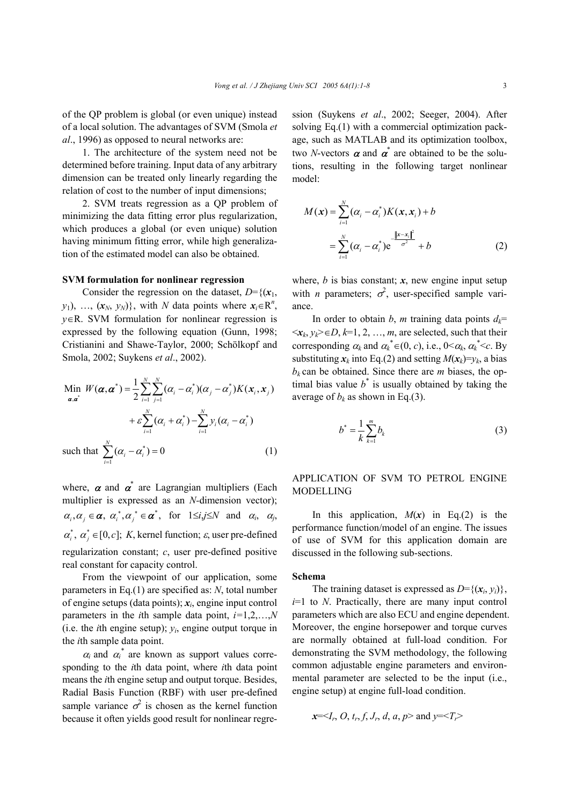of the QP problem is global (or even unique) instead of a local solution. The advantages of SVM (Smola *et al*., 1996) as opposed to neural networks are:

1. The architecture of the system need not be determined before training. Input data of any arbitrary dimension can be treated only linearly regarding the relation of cost to the number of input dimensions;

2. SVM treats regression as a QP problem of minimizing the data fitting error plus regularization, which produces a global (or even unique) solution having minimum fitting error, while high generalization of the estimated model can also be obtained.

## **SVM formulation for nonlinear regression**

Consider the regression on the dataset,  $D = \{ (x_1, x_2, \ldots, x_n) \}$  $y_1$ , ...,  $(x_N, y_N)$ , with *N* data points where  $x_i \in \mathbb{R}^n$ , *y*∈R. SVM formulation for nonlinear regression is expressed by the following equation (Gunn, 1998; Cristianini and Shawe-Taylor, 2000; Schölkopf and Smola, 2002; Suykens *et al*., 2002).

$$
\begin{aligned}\n\text{Min} \ \ W(\boldsymbol{\alpha}, \boldsymbol{\alpha}^*) &= \frac{1}{2} \sum_{i=1}^N \sum_{j=1}^N (\alpha_i - \alpha_i^*) (\alpha_j - \alpha_j^*) K(\boldsymbol{x}_i, \boldsymbol{x}_j) \\
&\quad + \varepsilon \sum_{i=1}^N (\alpha_i + \alpha_i^*) - \sum_{i=1}^N y_i (\alpha_i - \alpha_i^*) \\
\text{such that} \ \sum_{i=1}^N (\alpha_i - \alpha_i^*) &= 0\n\end{aligned}\n\tag{1}
$$

where,  $\alpha$  and  $\alpha^*$  are Lagrangian multipliers (Each multiplier is expressed as an *N-*dimension vector);  $\alpha_i, \alpha_j \in \boldsymbol{\alpha}, \ \alpha_i^*, \alpha_j^* \in \boldsymbol{\alpha}^*$ , for  $1 \le i, j \le N$  and  $\alpha_i, \alpha_j$ ,  $\alpha_i^*$ ,  $\alpha_j^* \in [0, c]$ ; *K*, kernel function; *ε*, user pre-defined regularization constant; *c*, user pre-defined positive real constant for capacity control.

From the viewpoint of our application, some parameters in Eq.(1) are specified as: *N*, total number of engine setups (data points);  $x_i$ , engine input control parameters in the *i*th sample data point, *i=*1,2,…,*N* (i.e. the *i*th engine setup);  $y_i$ , engine output torque in the *i*th sample data point.

 $\alpha_i$  and  $\alpha_i^*$  are known as support values corresponding to the *i*th data point, where *i*th data point means the *i*th engine setup and output torque. Besides, Radial Basis Function (RBF) with user pre-defined sample variance  $\sigma^2$  is chosen as the kernel function because it often yields good result for nonlinear regression (Suykens *et al*., 2002; Seeger, 2004). After solving Eq.(1) with a commercial optimization package, such as MATLAB and its optimization toolbox, two *N*-vectors  $\alpha$  and  $\alpha^*$  are obtained to be the solutions, resulting in the following target nonlinear model:

$$
M(x) = \sum_{i=1}^{N} (\alpha_i - \alpha_i^*) K(x, x_i) + b
$$
  
= 
$$
\sum_{i=1}^{N} (\alpha_i - \alpha_i^*) e^{-\frac{\|x - x_i\|^2}{\sigma^2}} + b
$$
 (2)

where,  $b$  is bias constant;  $x$ , new engine input setup with *n* parameters;  $\sigma^2$ , user-specified sample variance.

In order to obtain *b*, *m* training data points  $d_k =$  $\langle x_k, y_k \rangle \in D, k=1, 2, ..., m$ , are selected, such that their corresponding  $\alpha_k$  and  $\alpha_k^* \in (0, c)$ , i.e.,  $0 \leq \alpha_k$ ,  $\alpha_k^* \leq c$ . By substituting  $x_k$  into Eq.(2) and setting  $M(x_k)=y_k$ , a bias  $b_k$  can be obtained. Since there are *m* biases, the optimal bias value  $b^*$  is usually obtained by taking the average of  $b_k$  as shown in Eq.(3).

$$
b^* = \frac{1}{k} \sum_{k=1}^{m} b_k
$$
 (3)

APPLICATION OF SVM TO PETROL ENGINE MODELLING

In this application,  $M(x)$  in Eq.(2) is the performance function/model of an engine. The issues of use of SVM for this application domain are discussed in the following sub-sections.

#### **Schema**

The training dataset is expressed as  $D = \{ (x_i, y_i) \},\$ *i*=1 to *N*. Practically, there are many input control parameters which are also ECU and engine dependent. Moreover, the engine horsepower and torque curves are normally obtained at full-load condition. For demonstrating the SVM methodology, the following common adjustable engine parameters and environmental parameter are selected to be the input (i.e., engine setup) at engine full-load condition.

$$
x=
$$
<  $I_r$ ,  $O$ ,  $t_r$ ,  $f$ ,  $J_r$ ,  $d$ ,  $a$ ,  $p$  and  $y= $T_r>$$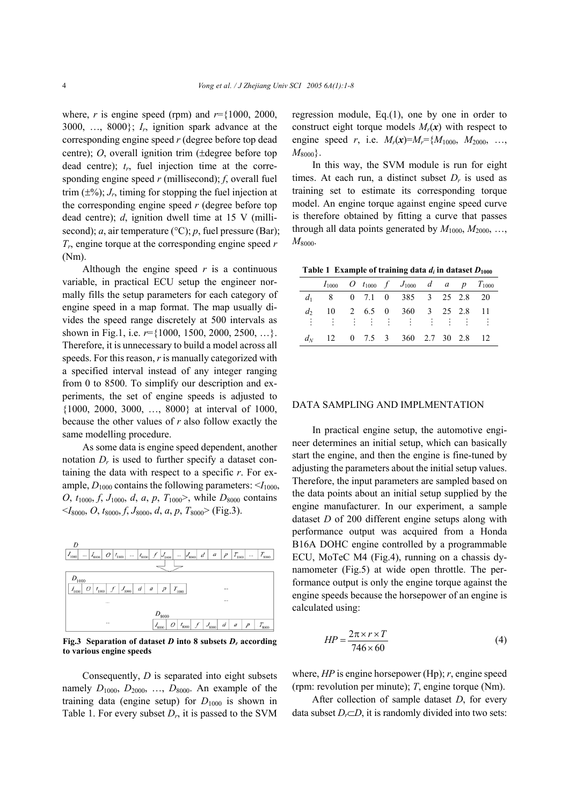where, *r* is engine speed (rpm) and  $r = \{1000, 2000, \dots\}$ 3000, …, 8000}; *Ir*, ignition spark advance at the corresponding engine speed *r* (degree before top dead centre); *O*, overall ignition trim (±degree before top dead centre); *tr*, fuel injection time at the corresponding engine speed *r* (millisecond); *f*, overall fuel trim  $(\pm \%)$ ;  $J_r$ , timing for stopping the fuel injection at the corresponding engine speed *r* (degree before top dead centre); *d*, ignition dwell time at 15 V (millisecond); *a*, air temperature (°C); *p*, fuel pressure (Bar); *Tr*, engine torque at the corresponding engine speed *r* (Nm).

Although the engine speed  $r$  is a continuous variable, in practical ECU setup the engineer normally fills the setup parameters for each category of engine speed in a map format. The map usually divides the speed range discretely at 500 intervals as shown in Fig.1, i.e. *r*={1000, 1500, 2000, 2500, …}. Therefore, it is unnecessary to build a model across all speeds. For this reason, *r* is manually categorized with a specified interval instead of any integer ranging from 0 to 8500. To simplify our description and experiments, the set of engine speeds is adjusted to {1000, 2000, 3000, …, 8000} at interval of 1000, because the other values of *r* also follow exactly the same modelling procedure.

As some data is engine speed dependent, another notation  $D_r$  is used to further specify a dataset containing the data with respect to a specific *r*. For example,  $D_{1000}$  contains the following parameters:  $\leq I_{1000}$ , *O*,  $t_{1000}$ , *f*,  $J_{1000}$ , *d*, *a*, *p*,  $T_{1000}$ , while  $D_{8000}$  contains  $\leq I_{8000}$ , *O*, *t*<sub>8000</sub>, *f*, *J*<sub>8000</sub>, *d*, *a*, *p*, *T*<sub>8000</sub> $>$  (Fig.3).



**Fig.3 Separation of dataset** *D* **into 8 subsets** *Dr* **according to various engine speeds** 

Consequently, *D* is separated into eight subsets namely  $D_{1000}$ ,  $D_{2000}$ , ...,  $D_{8000}$ . An example of the training data (engine setup) for  $D_{1000}$  is shown in Table 1. For every subset *Dr*, it is passed to the SVM regression module, Eq.(1), one by one in order to construct eight torque models  $M_r(x)$  with respect to engine speed *r*, i.e.  $M_r(x) = M_r = \{M_{1000}, M_{2000}, \ldots, M_{N000}\}$  $M<sub>8000</sub>$ .

In this way, the SVM module is run for eight times. At each run, a distinct subset *Dr* is used as training set to estimate its corresponding torque model. An engine torque against engine speed curve is therefore obtained by fitting a curve that passes through all data points generated by  $M_{1000}$ ,  $M_{2000}$ , ..., *M*8000.

**Table 1 Example of training data**  $d_i$  **in dataset**  $D_{1000}$ 

|  |  | $I_{1000}$ O $t_{1000}$ f $J_{1000}$ d a p $T_{1000}$ |  |  |
|--|--|-------------------------------------------------------|--|--|
|  |  | $d_1$ 8 0 7.1 0 385 3 25 2.8 20                       |  |  |
|  |  | $d_2$ 10 2 6.5 0 360 3 25 2.8 11                      |  |  |
|  |  | 나는 아이는 아이가 아이를 만들어 보이는 것이 없었다.                        |  |  |
|  |  | $d_N$ 12 0 7.5 3 360 2.7 30 2.8 12                    |  |  |

## DATA SAMPLING AND IMPLMENTATION

In practical engine setup, the automotive engineer determines an initial setup, which can basically start the engine, and then the engine is fine-tuned by adjusting the parameters about the initial setup values. Therefore, the input parameters are sampled based on the data points about an initial setup supplied by the engine manufacturer. In our experiment, a sample dataset *D* of 200 different engine setups along with performance output was acquired from a Honda B16A DOHC engine controlled by a programmable ECU, MoTeC M4 (Fig.4), running on a chassis dynamometer (Fig.5) at wide open throttle. The performance output is only the engine torque against the engine speeds because the horsepower of an engine is calculated using:

$$
HP = \frac{2\pi \times r \times T}{746 \times 60} \tag{4}
$$

where, *HP* is engine horsepower (Hp); *r*, engine speed (rpm: revolution per minute); *T*, engine torque (Nm).

After collection of sample dataset *D*, for every data subset  $D_r \subset D$ , it is randomly divided into two sets: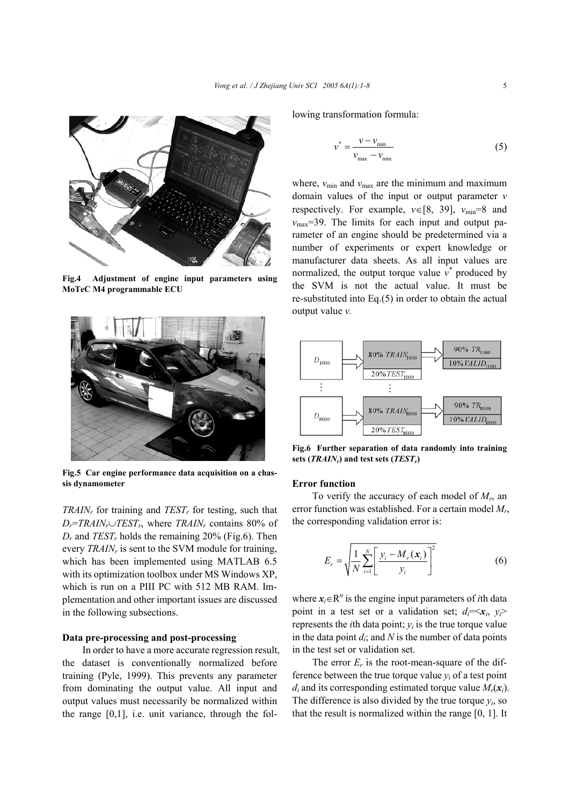

**Fig.4 Adjustment of engine input parameters using MoTeC M4 programmable ECU** 



**Fig.5 Car engine performance data acquisition on a chassis dynamometer** 

*TRAIN<sub>r</sub>* for training and *TEST<sub>r</sub>* for testing, such that *D<sub>r</sub>*=*TRAIN<sub>r</sub>*∪*TEST<sub>r</sub>*, where *TRAIN<sub>r</sub>* contains 80% of  $D_r$  and *TEST<sub>r</sub>* holds the remaining 20% (Fig.6). Then every *TRAIN<sub>r</sub>* is sent to the SVM module for training, which has been implemented using MATLAB 6.5 with its optimization toolbox under MS Windows XP, which is run on a PIII PC with 512 MB RAM. Implementation and other important issues are discussed in the following subsections.

## **Data pre-processing and post-processing**

In order to have a more accurate regression result, the dataset is conventionally normalized before training (Pyle, 1999). This prevents any parameter from dominating the output value. All input and output values must necessarily be normalized within the range [0,1], i.e. unit variance, through the following transformation formula:

$$
v^* = \frac{v - v_{\text{min}}}{v_{\text{max}} - v_{\text{min}}}
$$
(5)

where,  $v_{\text{min}}$  and  $v_{\text{max}}$  are the minimum and maximum domain values of the input or output parameter *v* respectively. For example,  $v \in [8, 39]$ ,  $v_{\text{min}}=8$  and  $v_{\text{max}}$ =39. The limits for each input and output parameter of an engine should be predetermined via a number of experiments or expert knowledge or manufacturer data sheets. As all input values are normalized, the output torque value  $v^*$  produced by the SVM is not the actual value. It must be re-substituted into Eq.(5) in order to obtain the actual output value *v.*



**Fig.6 Further separation of data randomly into training sets (***TRAINr***) and test sets (***TESTr***)** 

#### **Error function**

To verify the accuracy of each model of *Mr*, an error function was established. For a certain model *Mr*, the corresponding validation error is:

$$
E_r = \sqrt{\frac{1}{N} \sum_{i=1}^{N} \left[ \frac{y_i - M_r(\mathbf{x}_i)}{y_i} \right]^2}
$$
(6)

where  $x_i \in \mathbb{R}^n$  is the engine input parameters of *i*th data point in a test set or a validation set;  $d_i = \langle x_i, y_i \rangle$ represents the *i*th data point;  $y_i$  is the true torque value in the data point  $d_i$ ; and  $N$  is the number of data points in the test set or validation set.

The error  $E_r$  is the root-mean-square of the difference between the true torque value  $y_i$  of a test point  $d_i$  and its corresponding estimated torque value  $M_r(x_i)$ . The difference is also divided by the true torque  $v_i$ , so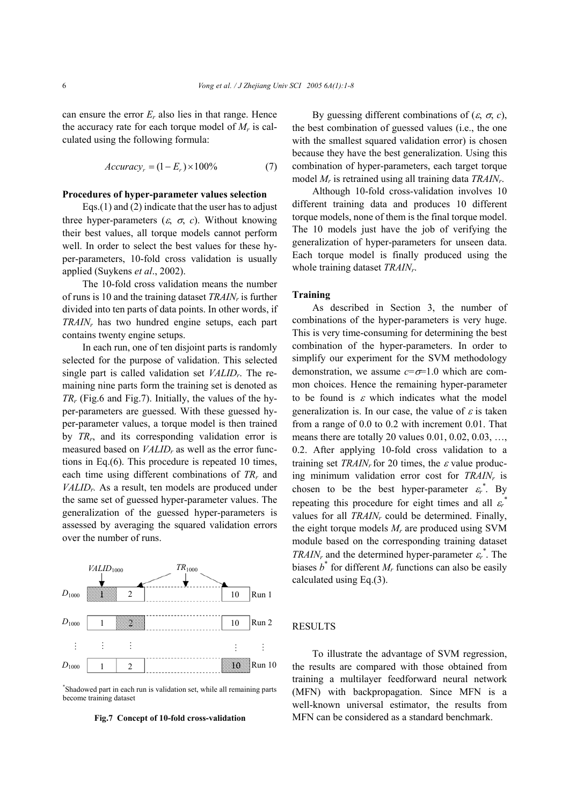can ensure the error  $E_r$  also lies in that range. Hence the accuracy rate for each torque model of  $M_r$  is calculated using the following formula:

$$
Accuracyr = (1 - Er) \times 100\% \tag{7}
$$

#### **Procedures of hyper-parameter values selection**

Eqs.(1) and (2) indicate that the user has to adjust three hyper-parameters  $(\varepsilon, \sigma, c)$ . Without knowing their best values, all torque models cannot perform well. In order to select the best values for these hyper-parameters, 10-fold cross validation is usually applied (Suykens *et al*., 2002).

The 10-fold cross validation means the number of runs is 10 and the training dataset *TRAINr* is further divided into ten parts of data points. In other words, if *TRAIN<sub>r</sub>* has two hundred engine setups, each part contains twenty engine setups.

In each run, one of ten disjoint parts is randomly selected for the purpose of validation. This selected single part is called validation set *VALIDr*. The remaining nine parts form the training set is denoted as *TRr* (Fig.6 and Fig.7). Initially, the values of the hyper-parameters are guessed. With these guessed hyper-parameter values, a torque model is then trained by *TRr*, and its corresponding validation error is measured based on *VALID<sub>r</sub>* as well as the error functions in Eq.(6). This procedure is repeated 10 times, each time using different combinations of *TRr* and *VALIDr.* As a result, ten models are produced under the same set of guessed hyper-parameter values. The generalization of the guessed hyper-parameters is assessed by averaging the squared validation errors over the number of runs.



\* Shadowed part in each run is validation set, while all remaining parts become training dataset



By guessing different combinations of ( $ε$ ,  $σ$ ,  $c$ ), the best combination of guessed values (i.e., the one with the smallest squared validation error) is chosen because they have the best generalization. Using this combination of hyper-parameters, each target torque model *Mr* is retrained using all training data *TRAINr*.

Although 10-fold cross-validation involves 10 different training data and produces 10 different torque models, none of them is the final torque model. The 10 models just have the job of verifying the generalization of hyper-parameters for unseen data. Each torque model is finally produced using the whole training dataset *TRAIN<sub>r</sub>*.

#### **Training**

As described in Section 3, the number of combinations of the hyper-parameters is very huge. This is very time-consuming for determining the best combination of the hyper-parameters. In order to simplify our experiment for the SVM methodology demonstration, we assume  $c = \sigma = 1.0$  which are common choices. Hence the remaining hyper-parameter to be found is  $\varepsilon$  which indicates what the model generalization is. In our case, the value of  $\varepsilon$  is taken from a range of 0.0 to 0.2 with increment 0.01. That means there are totally 20 values  $0.01, 0.02, 0.03, \ldots$ , 0.2. After applying 10-fold cross validation to a training set  $TRAIN<sub>r</sub>$  for 20 times, the  $\varepsilon$  value producing minimum validation error cost for *TRAINr* is chosen to be the best hyper-parameter  $\varepsilon_r^*$ . By repeating this procedure for eight times and all  $\varepsilon_r^*$ values for all *TRAIN<sub>r</sub>* could be determined. Finally, the eight torque models *Mr* are produced using SVM module based on the corresponding training dataset *TRAIN<sub>r</sub>* and the determined hyper-parameter  $\varepsilon_r^*$ . The biases  $b^*$  for different  $M_r$  functions can also be easily calculated using Eq.(3).

# RESULTS

To illustrate the advantage of SVM regression, the results are compared with those obtained from training a multilayer feedforward neural network (MFN) with backpropagation. Since MFN is a well-known universal estimator, the results from MFN can be considered as a standard benchmark.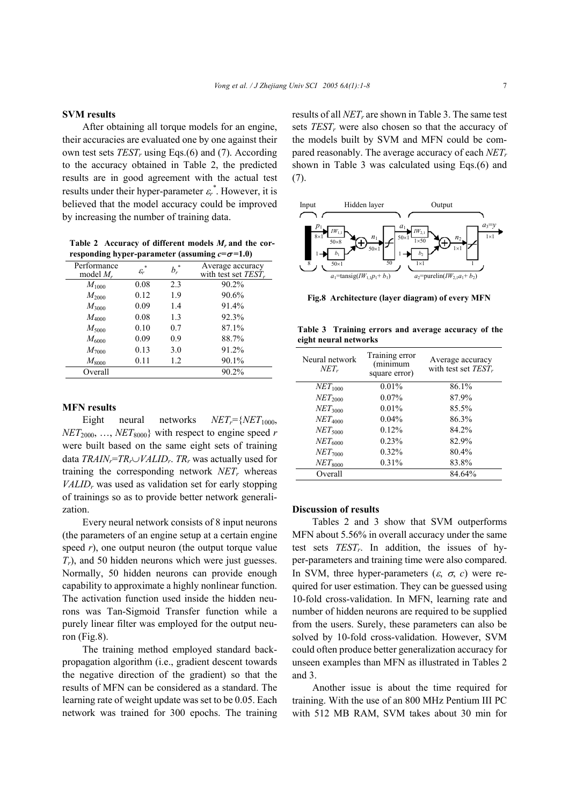## **SVM results**

After obtaining all torque models for an engine, their accuracies are evaluated one by one against their own test sets  $TEST_r$  using Eqs.(6) and (7). According to the accuracy obtained in Table 2, the predicted results are in good agreement with the actual test results under their hyper-parameter <sup>ε</sup>*<sup>r</sup> \** . However, it is believed that the model accuracy could be improved by increasing the number of training data.

**Table 2 Accuracy of different models** *Mr* **and the corresponding hyper-parameter (assuming**  $c = \sigma = 1.0$ **)** 

| Performance | $\varepsilon_r^*$ | $b_r^*$ | Average accuracy       |
|-------------|-------------------|---------|------------------------|
| model $M_r$ |                   |         | with test set $TEST_r$ |
| $M_{1000}$  | 0.08              | 2.3     | 90.2%                  |
| $M_{2000}$  | 0.12              | 1.9     | 90.6%                  |
| $M_{3000}$  | 0.09              | 1.4     | 91.4%                  |
| $M_{4000}$  | 0.08              | 1.3     | 92.3%                  |
| $M_{5000}$  | 0.10              | 0.7     | 87.1%                  |
| $M_{6000}$  | 0.09              | 0.9     | 88.7%                  |
| $M_{7000}$  | 0.13              | 3.0     | 91.2%                  |
| $M_{8000}$  | 0.11              | 1.2     | 90.1%                  |
| Overall     |                   |         | 90.2%                  |

## **MFN results**

Eight neural networks *NET<sub>r</sub>*={*NET*<sub>1000</sub>,  $NET_{2000}$ , ...,  $NET_{8000}$ } with respect to engine speed *r* were built based on the same eight sets of training data *TRAIN<sub>r</sub>*=*TR<sub>r</sub>*∪*VALID<sub>r</sub>*. *TR<sub>r</sub>* was actually used for training the corresponding network  $NET_r$  whereas *VALID<sub>r</sub>* was used as validation set for early stopping of trainings so as to provide better network generalization.

Every neural network consists of 8 input neurons (the parameters of an engine setup at a certain engine speed *r*), one output neuron (the output torque value *T<sub>r</sub>*), and 50 hidden neurons which were just guesses. Normally, 50 hidden neurons can provide enough capability to approximate a highly nonlinear function. The activation function used inside the hidden neurons was Tan-Sigmoid Transfer function while a purely linear filter was employed for the output neuron (Fig.8).

The training method employed standard backpropagation algorithm (i.e., gradient descent towards the negative direction of the gradient) so that the results of MFN can be considered as a standard. The learning rate of weight update was set to be 0.05. Each network was trained for 300 epochs. The training results of all *NET<sub>r</sub>* are shown in Table 3. The same test sets  $TEST_r$  were also chosen so that the accuracy of the models built by SVM and MFN could be compared reasonably. The average accuracy of each *NETr* shown in Table 3 was calculated using Eqs.(6) and (7).



**Fig.8 Architecture (layer diagram) of every MFN**

**Table 3 Training errors and average accuracy of the eight neural networks** 

| Neural network<br>$NET_r$ | Training error<br>(minimum<br>square error) | Average accuracy<br>with test set $TEST_r$ |
|---------------------------|---------------------------------------------|--------------------------------------------|
| $NET_{1000}$              | 0.01%                                       | 86.1%                                      |
| $NET_{2000}$              | $0.07\%$                                    | 87.9%                                      |
| NET <sub>3000</sub>       | 0.01%                                       | 85.5%                                      |
| NET <sub>4000</sub>       | $0.04\%$                                    | 86.3%                                      |
| NET <sub>5000</sub>       | 0.12%                                       | 84.2%                                      |
| $NET_{6000}$              | 0.23%                                       | 82.9%                                      |
| NET <sub>7000</sub>       | $0.32\%$                                    | 80.4%                                      |
| NET <sub>8000</sub>       | 0.31%                                       | 83.8%                                      |
| Overall                   |                                             | 84.64%                                     |

#### **Discussion of results**

Tables 2 and 3 show that SVM outperforms MFN about 5.56% in overall accuracy under the same test sets *TESTr*. In addition, the issues of hyper-parameters and training time were also compared. In SVM, three hyper-parameters  $(\varepsilon, \sigma, c)$  were required for user estimation. They can be guessed using 10-fold cross-validation. In MFN, learning rate and number of hidden neurons are required to be supplied from the users. Surely, these parameters can also be solved by 10-fold cross-validation. However, SVM could often produce better generalization accuracy for unseen examples than MFN as illustrated in Tables 2 and 3.

Another issue is about the time required for training. With the use of an 800 MHz Pentium III PC with 512 MB RAM, SVM takes about 30 min for